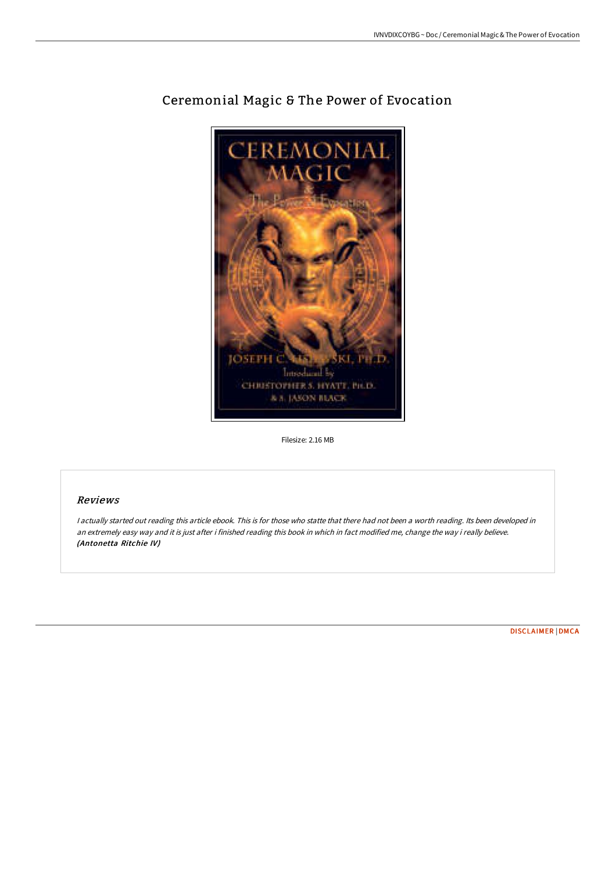

# Ceremonial Magic & The Power of Evocation

Filesize: 2.16 MB

## Reviews

<sup>I</sup> actually started out reading this article ebook. This is for those who statte that there had not been <sup>a</sup> worth reading. Its been developed in an extremely easy way and it is just after i finished reading this book in which in fact modified me, change the way i really believe. (Antonetta Ritchie IV)

[DISCLAIMER](http://bookera.tech/disclaimer.html) | [DMCA](http://bookera.tech/dmca.html)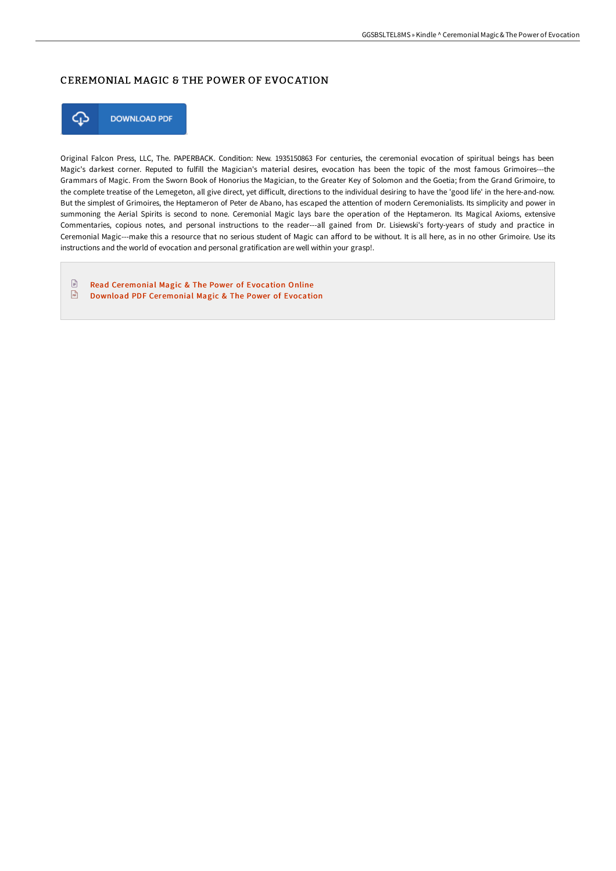## CEREMONIAL MAGIC & THE POWER OF EVOCATION



Original Falcon Press, LLC, The. PAPERBACK. Condition: New. 1935150863 For centuries, the ceremonial evocation of spiritual beings has been Magic's darkest corner. Reputed to fulfill the Magician's material desires, evocation has been the topic of the most famous Grimoires---the Grammars of Magic. From the Sworn Book of Honorius the Magician, to the Greater Key of Solomon and the Goetia; from the Grand Grimoire, to the complete treatise of the Lemegeton, all give direct, yet diFicult, directions to the individual desiring to have the 'good life' in the here-and-now. But the simplest of Grimoires, the Heptameron of Peter de Abano, has escaped the attention of modern Ceremonialists. Its simplicity and power in summoning the Aerial Spirits is second to none. Ceremonial Magic lays bare the operation of the Heptameron. Its Magical Axioms, extensive Commentaries, copious notes, and personal instructions to the reader---all gained from Dr. Lisiewski's forty-years of study and practice in Ceremonial Magic---make this a resource that no serious student of Magic can aFord to be without. It is all here, as in no other Grimoire. Use its instructions and the world of evocation and personal gratification are well within your grasp!.

 $\mathbf{r}$ Read [Ceremonial](http://bookera.tech/ceremonial-magic-amp-the-power-of-evocation.html) Magic & The Power of Evocation Online  $\sqrt{\frac{1}{n}}$ Download PDF [Ceremonial](http://bookera.tech/ceremonial-magic-amp-the-power-of-evocation.html) Magic & The Power of Evocation